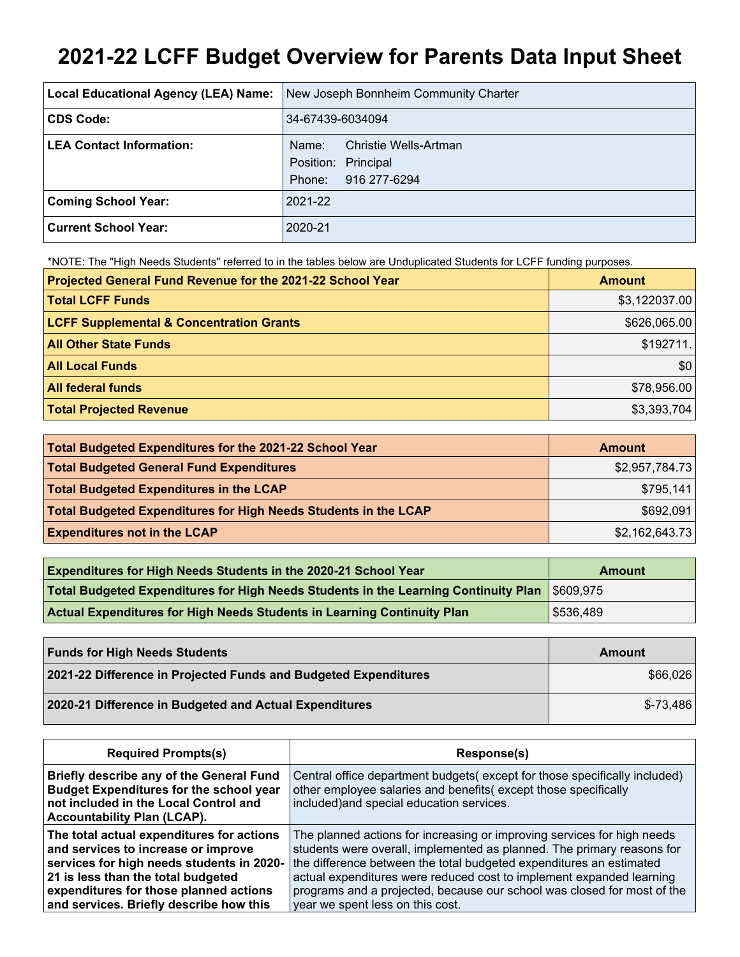# **2021-22 LCFF Budget Overview for Parents Data Input Sheet**

| Local Educational Agency (LEA) Name: | New Joseph Bonnheim Community Charter                                           |
|--------------------------------------|---------------------------------------------------------------------------------|
| CDS Code:                            | 34-67439-6034094                                                                |
| <b>LEA Contact Information:</b>      | Christie Wells-Artman<br>Name:<br>Position: Principal<br>916 277-6294<br>Phone: |
| <b>Coming School Year:</b>           | 2021-22                                                                         |
| <b>Current School Year:</b>          | 2020-21                                                                         |

\*NOTE: The "High Needs Students" referred to in the tables below are Unduplicated Students for LCFF funding purposes.

| Projected General Fund Revenue for the 2021-22 School Year | <b>Amount</b> |
|------------------------------------------------------------|---------------|
| <b>Total LCFF Funds</b>                                    | \$3,122037.00 |
| <b>LCFF Supplemental &amp; Concentration Grants</b>        | \$626,065.00  |
| <b>All Other State Funds</b>                               | \$192711.     |
| <b>All Local Funds</b>                                     | \$0           |
| <b>All federal funds</b>                                   | \$78,956.00   |
| <b>Total Projected Revenue</b>                             | \$3,393,704   |

| Total Budgeted Expenditures for the 2021-22 School Year         | <b>Amount</b>  |
|-----------------------------------------------------------------|----------------|
| <b>Total Budgeted General Fund Expenditures</b>                 | \$2,957,784.73 |
| <b>Total Budgeted Expenditures in the LCAP</b>                  | \$795,141      |
| Total Budgeted Expenditures for High Needs Students in the LCAP | \$692,091      |
| <b>Expenditures not in the LCAP</b>                             | \$2,162,643.73 |

| <b>Expenditures for High Needs Students in the 2020-21 School Year</b>                       | Amount    |
|----------------------------------------------------------------------------------------------|-----------|
| Total Budgeted Expenditures for High Needs Students in the Learning Continuity Plan 5609,975 |           |
| <b>Actual Expenditures for High Needs Students in Learning Continuity Plan</b>               | \$536,489 |

| <b>Funds for High Needs Students</b>                            | Amount     |
|-----------------------------------------------------------------|------------|
| 2021-22 Difference in Projected Funds and Budgeted Expenditures | \$66,026   |
| 2020-21 Difference in Budgeted and Actual Expenditures          | $$-73,486$ |

| <b>Required Prompts(s)</b>                                                                                                                                                                                                                               | Response(s)                                                                                                                                                                                                                                                                                                                                                                                                     |
|----------------------------------------------------------------------------------------------------------------------------------------------------------------------------------------------------------------------------------------------------------|-----------------------------------------------------------------------------------------------------------------------------------------------------------------------------------------------------------------------------------------------------------------------------------------------------------------------------------------------------------------------------------------------------------------|
| Briefly describe any of the General Fund<br><b>Budget Expenditures for the school year</b><br>not included in the Local Control and<br><b>Accountability Plan (LCAP).</b>                                                                                | Central office department budgets (except for those specifically included)<br>other employee salaries and benefits(except those specifically<br>included) and special education services.                                                                                                                                                                                                                       |
| The total actual expenditures for actions<br>and services to increase or improve<br>services for high needs students in 2020-<br>21 is less than the total budgeted<br>expenditures for those planned actions<br>and services. Briefly describe how this | The planned actions for increasing or improving services for high needs<br>students were overall, implemented as planned. The primary reasons for<br>the difference between the total budgeted expenditures an estimated<br>actual expenditures were reduced cost to implement expanded learning<br>programs and a projected, because our school was closed for most of the<br>year we spent less on this cost. |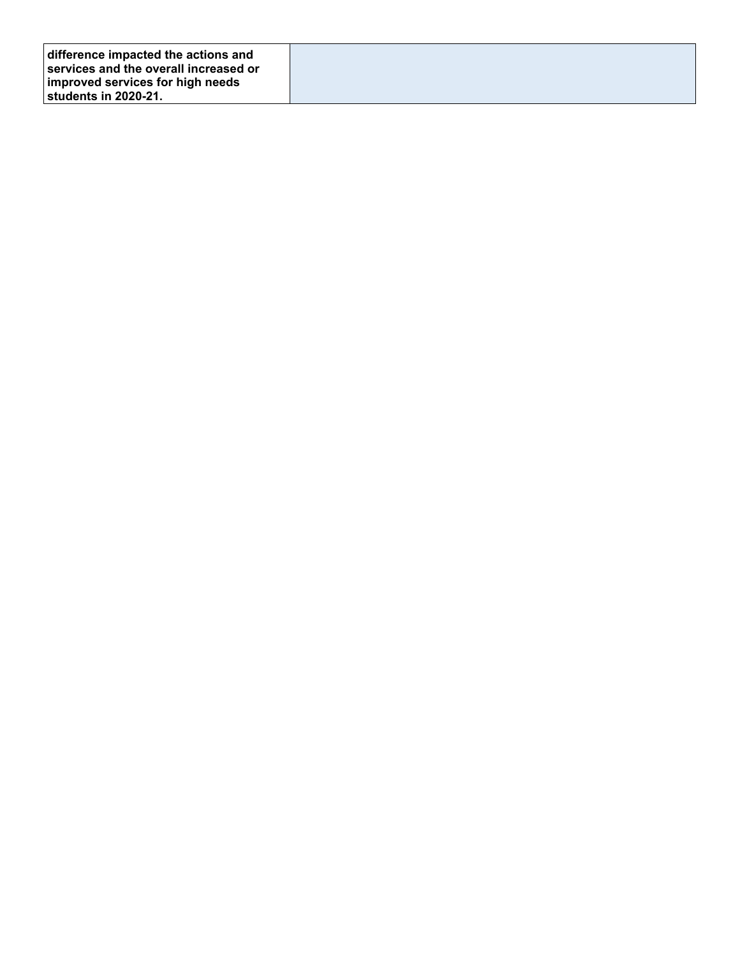| difference impacted the actions and   |  |
|---------------------------------------|--|
| services and the overall increased or |  |
| improved services for high needs      |  |
| ⊺students in 2020-21.                 |  |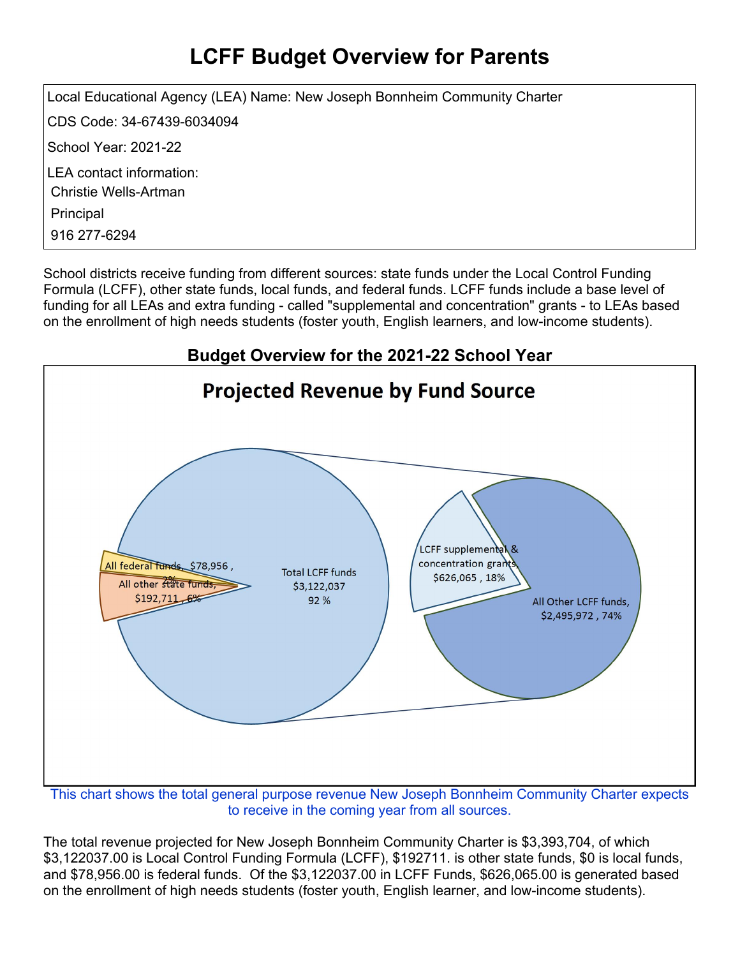# **LCFF Budget Overview for Parents**

Local Educational Agency (LEA) Name: New Joseph Bonnheim Community Charter CDS Code: 34-67439-6034094 School Year: 2021-22 LEA contact information: Christie Wells-Artman Principal 916 277-6294

School districts receive funding from different sources: state funds under the Local Control Funding Formula (LCFF), other state funds, local funds, and federal funds. LCFF funds include a base level of funding for all LEAs and extra funding - called "supplemental and concentration" grants - to LEAs based on the enrollment of high needs students (foster youth, English learners, and low-income students).



This chart shows the total general purpose revenue New Joseph Bonnheim Community Charter expects to receive in the coming year from all sources.

The total revenue projected for New Joseph Bonnheim Community Charter is \$3,393,704, of which \$3,122037.00 is Local Control Funding Formula (LCFF), \$192711. is other state funds, \$0 is local funds, and \$78,956.00 is federal funds. Of the \$3,122037.00 in LCFF Funds, \$626,065.00 is generated based on the enrollment of high needs students (foster youth, English learner, and low-income students).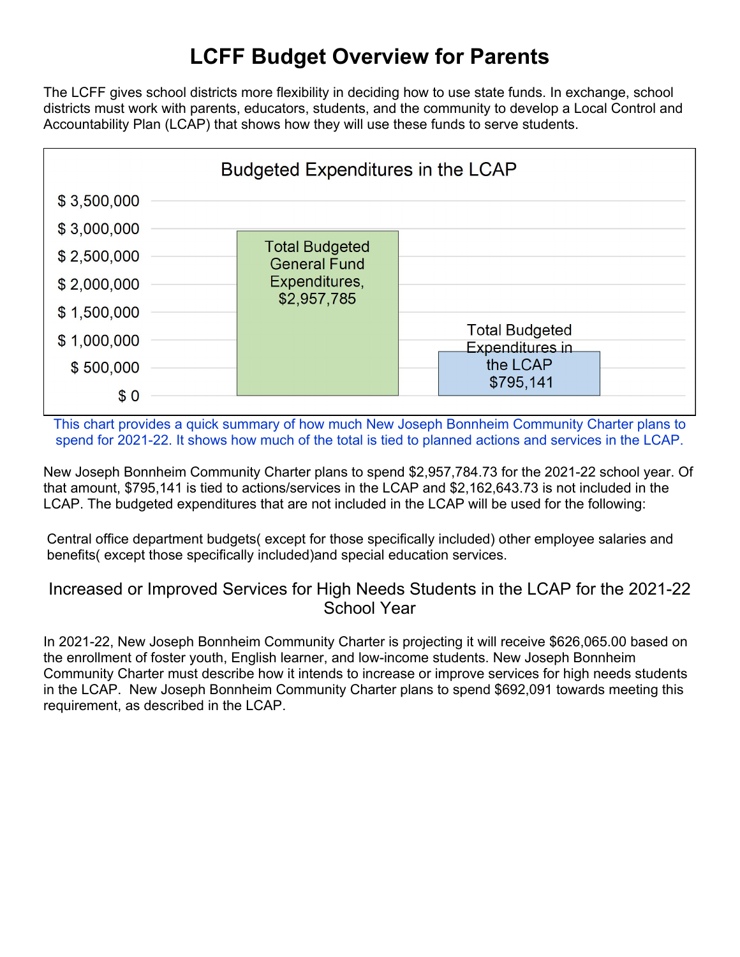# **LCFF Budget Overview for Parents**

The LCFF gives school districts more flexibility in deciding how to use state funds. In exchange, school districts must work with parents, educators, students, and the community to develop a Local Control and Accountability Plan (LCAP) that shows how they will use these funds to serve students.



This chart provides a quick summary of how much New Joseph Bonnheim Community Charter plans to spend for 2021-22. It shows how much of the total is tied to planned actions and services in the LCAP.

New Joseph Bonnheim Community Charter plans to spend \$2,957,784.73 for the 2021-22 school year. Of that amount, \$795,141 is tied to actions/services in the LCAP and \$2,162,643.73 is not included in the LCAP. The budgeted expenditures that are not included in the LCAP will be used for the following:

Central office department budgets( except for those specifically included) other employee salaries and benefits( except those specifically included)and special education services.

#### Increased or Improved Services for High Needs Students in the LCAP for the 2021-22 School Year

In 2021-22, New Joseph Bonnheim Community Charter is projecting it will receive \$626,065.00 based on the enrollment of foster youth, English learner, and low-income students. New Joseph Bonnheim Community Charter must describe how it intends to increase or improve services for high needs students in the LCAP. New Joseph Bonnheim Community Charter plans to spend \$692,091 towards meeting this requirement, as described in the LCAP.